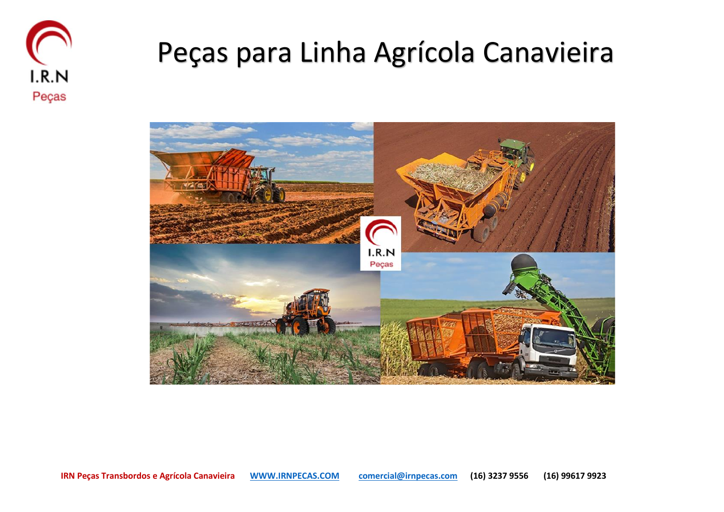

## Peças para Linha Agrícola Canavieira

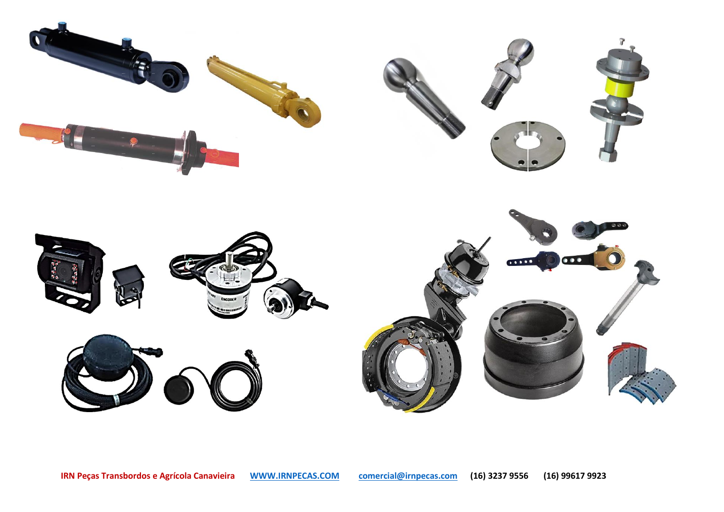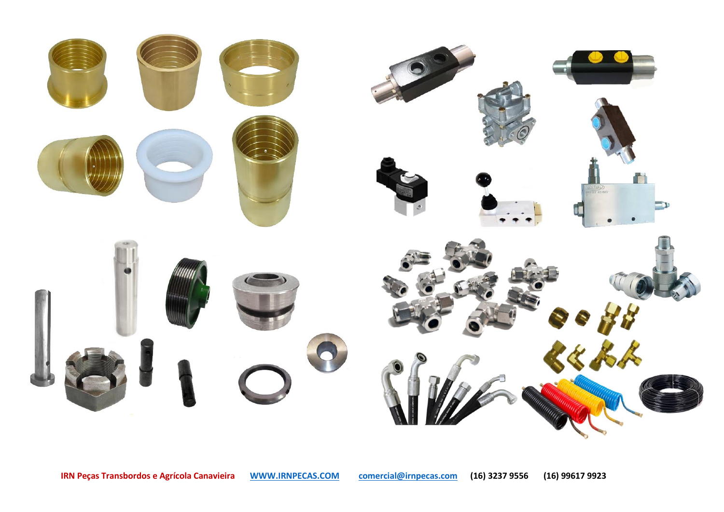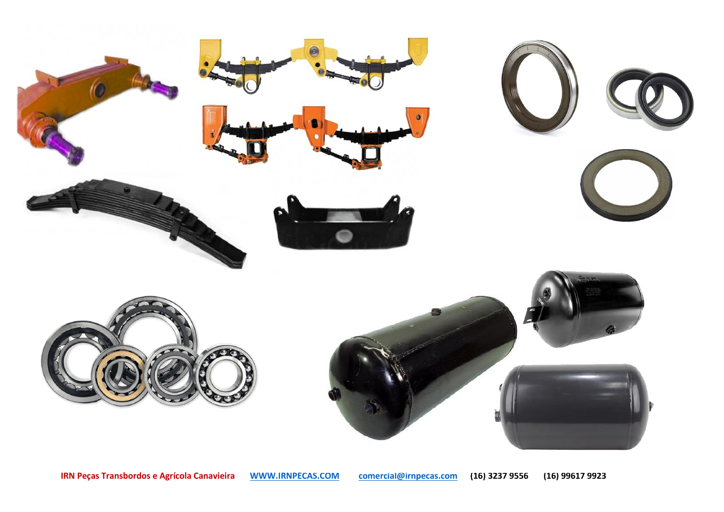

**IRN Peças Transbordos e Agrícola Canavieira [WWW.IRNPECAS.COM](http://www.irnpecas.com/) [comercial@irnpecas.com](mailto:comercial@irnpecas.com) (16) 3237 9556 (16) 99617 9923** 710359